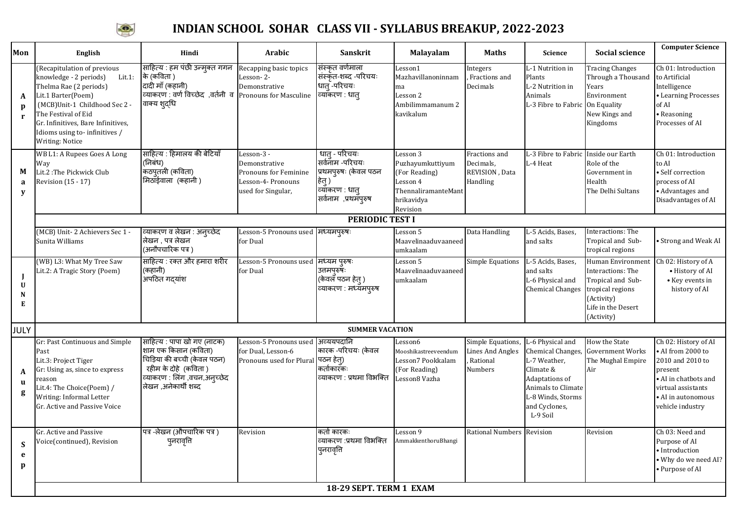

## **INDIAN SCHOOL SOHAR CLASS VII - SYLLABUS BREAKUP, 2022-2023**

| Mon                    | <b>English</b>                                                                                                                                                                                                                                                    | Hindi                                                                                                                                                               | Arabic                                                                                           | <b>Sanskrit</b>                                                                                               | <b>Malayalam</b>                                                                                           | Maths                                                              | Science                                                                                                                                                      | <b>Social science</b>                                                                                                                    | <b>Computer Science</b>                                                                                                                                        |
|------------------------|-------------------------------------------------------------------------------------------------------------------------------------------------------------------------------------------------------------------------------------------------------------------|---------------------------------------------------------------------------------------------------------------------------------------------------------------------|--------------------------------------------------------------------------------------------------|---------------------------------------------------------------------------------------------------------------|------------------------------------------------------------------------------------------------------------|--------------------------------------------------------------------|--------------------------------------------------------------------------------------------------------------------------------------------------------------|------------------------------------------------------------------------------------------------------------------------------------------|----------------------------------------------------------------------------------------------------------------------------------------------------------------|
| A<br>D<br>$\mathbf{r}$ | (Recapitulation of previous<br>knowledge - 2 periods)<br>Lit.1:<br>Thelma Rae (2 periods)<br>Lit.1 Barter(Poem)<br>(MCB)Unit-1 Childhood Sec 2 -<br>The Festival of Eid<br>Gr. Infinitives, Bare Infinitives,<br>Idioms using to-infinitives /<br>Writing: Notice | साहित्य : हम पंछी उन्मुक्त गगन<br>के (कविता)<br>दादी माँ (कहानी)<br>cयाकरण : वर्ण विच्छेद, वर्तनी व Pronouns for Masculine<br>वाक्य शुद्धि                          | Recapping basic topics<br>Lesson-2-<br>Demonstrative                                             | संस्कृत वर्णमाला<br>संस्कृत-शब्द -परिचयः<br>धातु -परिचयः<br>व्यॉकरण : धातु                                    | Lesson1<br>Mazhavillanoninnam<br>ma<br>Lesson 2<br>Ambilimmamanum 2<br>kavikalum                           | Integers<br>Fractions and<br>Decimals                              | L-1 Nutrition in<br>Plants<br>L-2 Nutrition in<br>Animals<br>L-3 Fibre to Fabric On Equality                                                                 | <b>Tracing Changes</b><br>Through a Thousand<br>Years<br>Environment<br>New Kings and<br>Kingdoms                                        | Ch 01: Introduction<br>to Artificial<br>Intelligence<br>• Learning Processes<br>of AI<br>• Reasoning<br>Processes of AI                                        |
| M<br>a<br>y            | <b>WB L1: A Rupees Goes A Long</b><br>Way<br>Lit.2: The Pickwick Club<br>Revision (15 - 17)                                                                                                                                                                       | साहित्य : हिमालय की बेटियाँ<br>(निबंध)<br>कठपुतली (कविता)<br>मिठाँईवाला (कहानी )                                                                                    | Lesson-3 -<br>Demonstrative<br>Pronouns for Feminine<br>Lesson-4- Pronouns<br>used for Singular, | धात् - परिचयः<br>सर्वनाम -परिचयः<br>प्रथमपुरुषः (केवल पठन<br>हेतु )<br>व्याकरण : धातु<br>सर्वनाम ,प्रथमॅपुरुष | Lesson 3<br>Puzhayumkuttiyum<br>(For Reading)<br>Lesson 4<br>ThennaliramanteMant<br>hrikavidya<br>Revision | Fractions and<br>Decimals,<br>REVISION, Data<br>Handling           | L-3 Fibre to Fabric<br>L-4 Heat                                                                                                                              | Inside our Earth<br>Role of the<br>Government in<br>Health<br>The Delhi Sultans                                                          | Ch 01: Introduction<br>to AI<br>· Self correction<br>process of AI<br>• Advantages and<br>Disadvantages of AI                                                  |
|                        | PERIODIC TEST I                                                                                                                                                                                                                                                   |                                                                                                                                                                     |                                                                                                  |                                                                                                               |                                                                                                            |                                                                    |                                                                                                                                                              |                                                                                                                                          |                                                                                                                                                                |
|                        | (MCB) Unit-2 Achievers Sec 1 -<br>Sunita Williams                                                                                                                                                                                                                 | व्याकरण व लेखन : अन्च्छेद<br>लेखन , पत्र लेखन<br>(अनौपचारिक पत्र )                                                                                                  | Lesson-5 Pronouns used मध्यमपुरुषः<br>for Dual                                                   |                                                                                                               | Lesson 5<br>Maavelinaaduvaaneed<br>umkaalam                                                                | Data Handling                                                      | L-5 Acids, Bases,<br>and salts                                                                                                                               | Interactions: The<br>Tropical and Sub-<br>tropical regions                                                                               | • Strong and Weak AI                                                                                                                                           |
| U<br>N<br>E            | (WB) L3: What My Tree Saw<br>Lit.2: A Tragic Story (Poem)                                                                                                                                                                                                         | साहित्य : रक्त और हमारा शरीर<br>(कहानी)<br>अपठित गदयांश                                                                                                             | Lesson-5 Pronouns used मध्यम पुरुषः<br>for Dual                                                  | उत्तमपुरुषः<br>(केवल पठन हेत् )<br>व्याकरण : मध्यमपुरुष                                                       | Lesson 5<br>Maavelinaaduvaaneed<br>umkaalam                                                                | <b>Simple Equations</b>                                            | L-5 Acids, Bases,<br>and salts<br>L-6 Physical and<br><b>Chemical Changes</b>                                                                                | <b>Human Environment</b><br>Interactions: The<br>Tropical and Sub-<br>tropical regions<br>(Activity)<br>Life in the Desert<br>(Activity) | Ch 02: History of A<br>• History of AI<br>• Key events in<br>history of AI                                                                                     |
| JULY                   |                                                                                                                                                                                                                                                                   |                                                                                                                                                                     |                                                                                                  | <b>SUMMER VACATION</b>                                                                                        |                                                                                                            |                                                                    |                                                                                                                                                              |                                                                                                                                          |                                                                                                                                                                |
| A<br>$\mathbf{u}$<br>g | Gr: Past Continuous and Simple<br>Past<br>Lit.3: Project Tiger<br>Gr: Using as, since to express<br>reason<br>Lit.4: The Choice(Poem) /<br>Writing: Informal Letter<br>Gr. Active and Passive Voice                                                               | साहित्य : पापा खो गए (नाटक)<br>शाम एक किसान (कविता)<br>चिड़िया की बच्ची (केवल पठन)<br>रहीम के दोहे (कविता )<br>व्याकरण : लिंग ,वचन,अन्च्छेद<br>लेखन ,अनेकार्थी शब्द | Lesson-5 Pronouns used<br>for Dual, Lesson-6<br>Pronouns used for Plural पठन हेत्)               | अव्ययपदानि<br>कारक -परिचयः (केवल<br>कर्ताकारॅकः<br>व्याकरण : प्रथमा विभक्ति                                   | Lesson6<br>Mooshikastreeveendum<br>Lesson7 Pookkalam<br>(For Reading)<br>Lesson8 Vazha                     | Simple Equations<br><b>Lines And Angles</b><br>Rational<br>Numbers | L-6 Physical and<br>Chemical Changes,<br>L-7 Weather,<br>Climate &<br>Adaptations of<br>Animals to Climate<br>L-8 Winds, Storms<br>and Cyclones,<br>L-9 Soil | How the State<br>Government Works<br>The Mughal Empire<br>Air                                                                            | Ch 02: History of AI<br>AI from 2000 to<br>2010 and 2010 to<br>present<br>• AI in chatbots and<br>virtual assistants<br>· AI in autonomous<br>vehicle industry |
| <b>S</b><br>e<br>p     | Gr. Active and Passive<br>Voice(continued), Revision                                                                                                                                                                                                              | पत्र -लेखन (औपचारिक पत्र)<br>पुनरावृत्ति                                                                                                                            | Revision                                                                                         | कर्ता कारकः<br>व्याकरण :प्रथमा विभक्ति<br>पुनरावृत्ति                                                         | Lesson 9<br>AmmakkenthoruBhangi                                                                            | <b>Rational Numbers</b>                                            | Revision                                                                                                                                                     | Revision                                                                                                                                 | Ch 03: Need and<br>Purpose of AI<br>• Introduction<br>Why do we need AI?<br>· Purpose of AI                                                                    |
|                        | 18-29 SEPT. TERM 1 EXAM                                                                                                                                                                                                                                           |                                                                                                                                                                     |                                                                                                  |                                                                                                               |                                                                                                            |                                                                    |                                                                                                                                                              |                                                                                                                                          |                                                                                                                                                                |